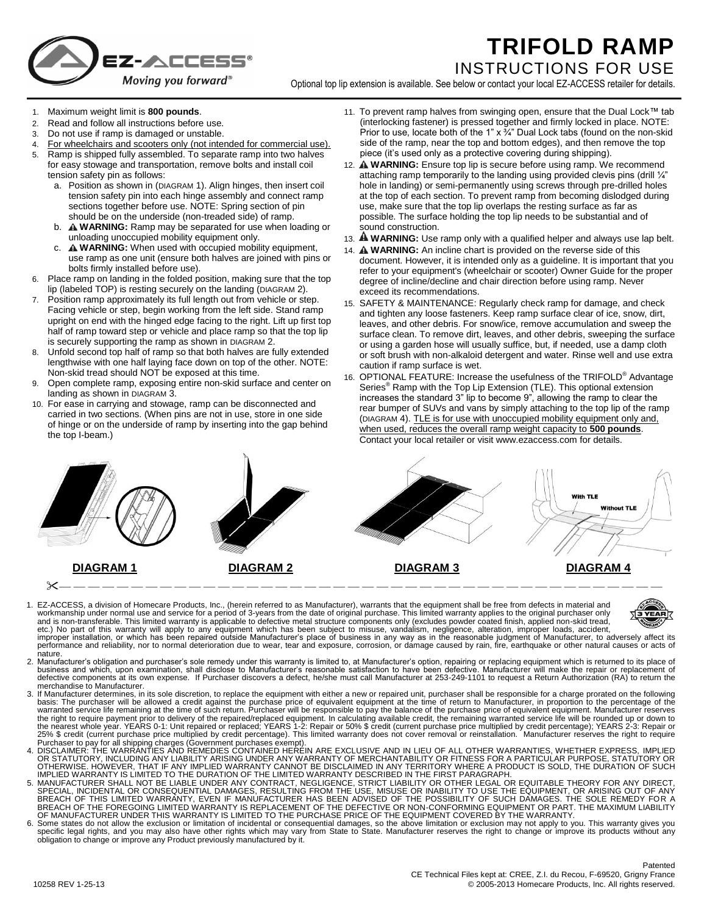

## **TRIFOLD RAMP** INSTRUCTIONS FOR USE

Optional top lip extension is available. See below or contact your local EZ-ACCESS retailer for details.

- 1. Maximum weight limit is **800 pounds**.
- 2. Read and follow all instructions before use.
- 3. Do not use if ramp is damaged or unstable.
- 4. For wheelchairs and scooters only (not intended for commercial use).
- 5. Ramp is shipped fully assembled. To separate ramp into two halves for easy stowage and transportation, remove bolts and install coil tension safety pin as follows:
	- a. Position as shown in (DIAGRAM 1). Align hinges, then insert coil tension safety pin into each hinge assembly and connect ramp sections together before use. NOTE: Spring section of pin should be on the underside (non-treaded side) of ramp.
	- b. **WARNING:** Ramp may be separated for use when loading or unloading unoccupied mobility equipment only.
	- c. **WARNING:** When used with occupied mobility equipment, use ramp as one unit (ensure both halves are joined with pins or bolts firmly installed before use).
- 6. Place ramp on landing in the folded position, making sure that the top lip (labeled TOP) is resting securely on the landing (DIAGRAM 2).
- 7. Position ramp approximately its full length out from vehicle or step. Facing vehicle or step, begin working from the left side. Stand ramp upright on end with the hinged edge facing to the right. Lift up first top half of ramp toward step or vehicle and place ramp so that the top lip is securely supporting the ramp as shown in DIAGRAM 2.
- 8. Unfold second top half of ramp so that both halves are fully extended lengthwise with one half laying face down on top of the other. NOTE: Non-skid tread should NOT be exposed at this time.
- 9. Open complete ramp, exposing entire non-skid surface and center on landing as shown in DIAGRAM 3.
- 10. For ease in carrying and stowage, ramp can be disconnected and carried in two sections. (When pins are not in use, store in one side of hinge or on the underside of ramp by inserting into the gap behind the top I-beam.)
- 11. To prevent ramp halves from swinging open, ensure that the Dual Lock™ tab (interlocking fastener) is pressed together and firmly locked in place. NOTE: Prior to use, locate both of the 1" x 1/4" Dual Lock tabs (found on the non-skid side of the ramp, near the top and bottom edges), and then remove the top piece (it's used only as a protective covering during shipping).
- 12. A WARNING: Ensure top lip is secure before using ramp. We recommend attaching ramp temporarily to the landing using provided clevis pins (drill ¼" hole in landing) or semi-permanently using screws through pre-drilled holes at the top of each section. To prevent ramp from becoming dislodged during use, make sure that the top lip overlaps the resting surface as far as possible. The surface holding the top lip needs to be substantial and of sound construction.
- 13. **WARNING:** Use ramp only with a qualified helper and always use lap belt.
- 14. **WARNING:** An incline chart is provided on the reverse side of this document. However, it is intended only as a guideline. It is important that you refer to your equipment's (wheelchair or scooter) Owner Guide for the proper degree of incline/decline and chair direction before using ramp. Never exceed its recommendations.
- 15. SAFETY & MAINTENANCE: Regularly check ramp for damage, and check and tighten any loose fasteners. Keep ramp surface clear of ice, snow, dirt, leaves, and other debris. For snow/ice, remove accumulation and sweep the surface clean. To remove dirt, leaves, and other debris, sweeping the surface or using a garden hose will usually suffice, but, if needed, use a damp cloth or soft brush with non-alkaloid detergent and water. Rinse well and use extra caution if ramp surface is wet.
- 16. OPTIONAL FEATURE: Increase the usefulness of the TRIFOLD® Advantage Series® Ramp with the Top Lip Extension (TLE). This optional extension increases the standard 3" lip to become 9", allowing the ramp to clear the rear bumper of SUVs and vans by simply attaching to the top lip of the ramp (DIAGRAM 4). TLE is for use with unoccupied mobility equipment only and, when used, reduces the overall ramp weight capacity to **500 pounds**. Contact your local retailer or visit www.ezaccess.com for details.



- — — — — — — — — — — — — — — — — — — — — —
- 1. EZ-ACCESS, a division of Homecare Products, Inc., (herein referred to as Manufacturer), warrants that the equipment shall be free from defects in material and<br>workmanship under normal use and service for a period of 3-y and is non-transferable. This limited warranty is applicable to defective metal structure components only (excludes powder coated finish, applied non-skid tread, etc.) No part of this warranty will apply to any equipment which has been subject to misuse, vandalism, negligence, alteration, improper loads, accident, were the subsequent of Manufacturer, to adversely affect its<br>imprope
	- performance and reliability, nor to normal deterioration due to wear, tear and exposure, corrosion, or damage caused by rain, fire, earthquake or other natural causes or acts of nature.
- 2. Manufacturer's obligation and purchaser's sole remedy under this warranty is limited to, at Manufacturer's option, repairing or replacing equipment which is returned to its place of<br>business and which, upon examination, defective components at its own expense. If Purchaser discovers a defect, he/she must call Manufacturer at 253-249-1101 to request a Return Authorization (RA) to return the merchandise to Manufacturer.
- 3. If Manufacturer determines, in its sole discretion, to replace the equipment with either a new or repaired unit, purchaser shall be responsible for a charge prorated on the following basis: The purchaser will be allowed a credit against the purchase price of equivalent equipment at the time of return to Manufacturer, in proportion to the percentage of the<br>warranted service life remaining at the time of
- 
- warranted service life remaining at the time of such return. Purchasse will be responsible to pay the balance of the purchase price of equivalent equipment. Manufacture reserves the speed to the meanst whole year. YEARS 0-
- 6. Some states do not allow the exclusion or limitation of incidental or consequential damages, so the above limitation or exclusion may not apply to you. This warranty gives you<br>specific legal rights, and you may also hav